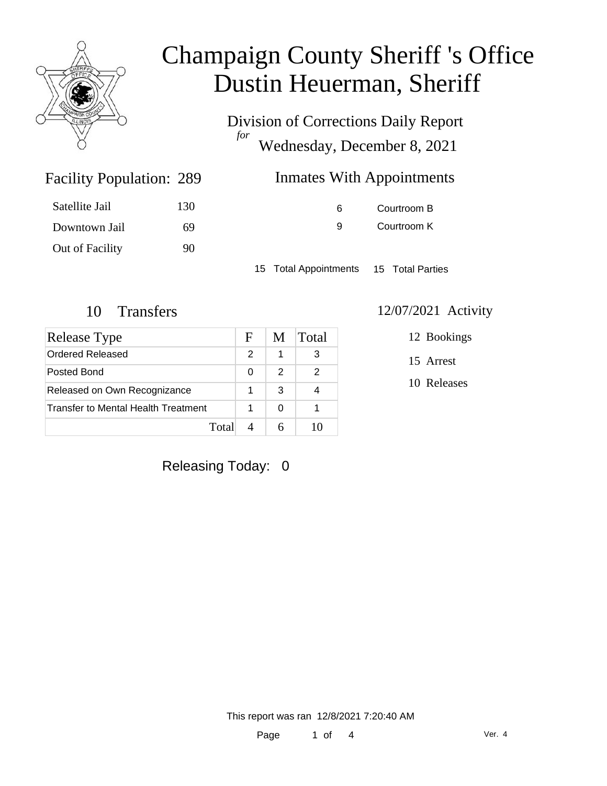

Division of Corrections Daily Report *for* Wednesday, December 8, 2021

| 289 | <b>Inmates With Appointments</b> |
|-----|----------------------------------|
|-----|----------------------------------|

| Satellite Jail  | 130 |
|-----------------|-----|
| Downtown Jail   | 69  |
| Out of Facility | 90  |

Facility Population: 289

6 Courtroom B 9 Courtroom K

15 Total Appointments 15 Total Parties

| <b>Release Type</b>                 |  | M | Total |
|-------------------------------------|--|---|-------|
| <b>Ordered Released</b>             |  | 1 | 3     |
| Posted Bond                         |  | 2 | 2     |
| Released on Own Recognizance        |  | 3 |       |
| Transfer to Mental Health Treatment |  | 0 |       |
| Total                               |  |   |       |

#### 10 Transfers 12/07/2021 Activity

12 Bookings

15 Arrest

10 Releases

Releasing Today: 0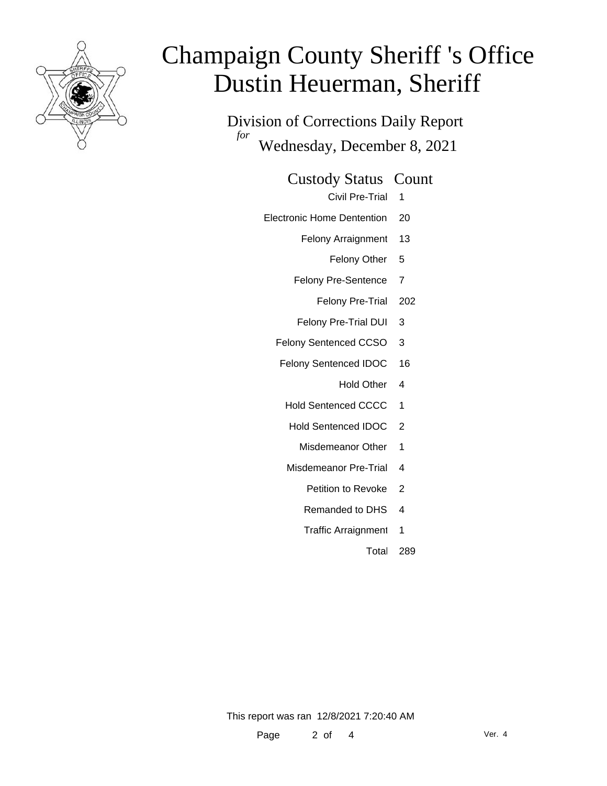

Division of Corrections Daily Report *for* Wednesday, December 8, 2021

Custody Status Count

Civil Pre-Trial 1

- Electronic Home Dentention 20
	- Felony Arraignment 13

Felony Other 5

- Felony Pre-Sentence 7
	- Felony Pre-Trial 202
- Felony Pre-Trial DUI 3
- Felony Sentenced CCSO 3
- Felony Sentenced IDOC 16
	- Hold Other 4
	- Hold Sentenced CCCC 1
	- Hold Sentenced IDOC 2
		- Misdemeanor Other 1
	- Misdemeanor Pre-Trial 4
		- Petition to Revoke 2
		- Remanded to DHS 4
		- Traffic Arraignment 1
			- Total 289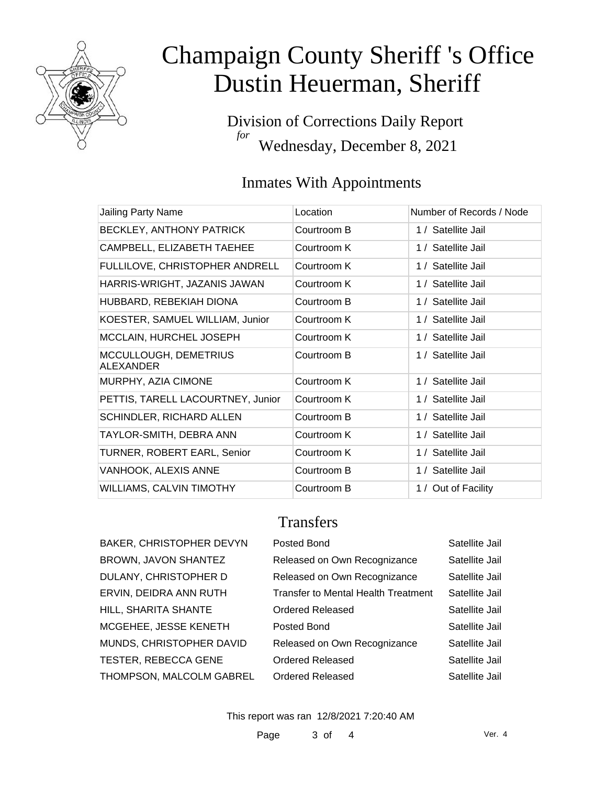

Division of Corrections Daily Report *for* Wednesday, December 8, 2021

### Inmates With Appointments

| Jailing Party Name                        | Location    | Number of Records / Node |
|-------------------------------------------|-------------|--------------------------|
| <b>BECKLEY, ANTHONY PATRICK</b>           | Courtroom B | 1 / Satellite Jail       |
| CAMPBELL, ELIZABETH TAEHEE                | Courtroom K | 1 / Satellite Jail       |
| FULLILOVE, CHRISTOPHER ANDRELL            | Courtroom K | 1 / Satellite Jail       |
| HARRIS-WRIGHT, JAZANIS JAWAN              | Courtroom K | 1 / Satellite Jail       |
| HUBBARD, REBEKIAH DIONA                   | Courtroom B | 1 / Satellite Jail       |
| KOESTER, SAMUEL WILLIAM, Junior           | Courtroom K | 1 / Satellite Jail       |
| MCCLAIN, HURCHEL JOSEPH                   | Courtroom K | 1 / Satellite Jail       |
| MCCULLOUGH, DEMETRIUS<br><b>ALEXANDER</b> | Courtroom B | 1 / Satellite Jail       |
| MURPHY, AZIA CIMONE                       | Courtroom K | 1 / Satellite Jail       |
| PETTIS, TARELL LACOURTNEY, Junior         | Courtroom K | 1 / Satellite Jail       |
| SCHINDLER, RICHARD ALLEN                  | Courtroom B | 1 / Satellite Jail       |
| TAYLOR-SMITH, DEBRA ANN                   | Courtroom K | 1 / Satellite Jail       |
| TURNER, ROBERT EARL, Senior               | Courtroom K | 1 / Satellite Jail       |
| VANHOOK, ALEXIS ANNE                      | Courtroom B | 1 / Satellite Jail       |
| <b>WILLIAMS, CALVIN TIMOTHY</b>           | Courtroom B | 1 / Out of Facility      |

#### **Transfers**

BAKER, CHRISTOPHER DEVYN BROWN, JAVON SHANTEZ DULANY, CHRISTOPHER D ERVIN, DEIDRA ANN RUTH HILL, SHARITA SHANTE MCGEHEE, JESSE KENETH MUNDS, CHRISTOPHER DAVID TESTER, REBECCA GENE THOMPSON, MALCOLM GABREL

| Posted Bond                                | Satellite Jail |
|--------------------------------------------|----------------|
| Released on Own Recognizance               | Satellite Jail |
| Released on Own Recognizance               | Satellite Jail |
| <b>Transfer to Mental Health Treatment</b> | Satellite Jail |
| Ordered Released                           | Satellite Jail |
| Posted Bond                                | Satellite Jail |
| Released on Own Recognizance               | Satellite Jail |
| Ordered Released                           | Satellite Jail |
| Ordered Released                           | Satellite Jail |